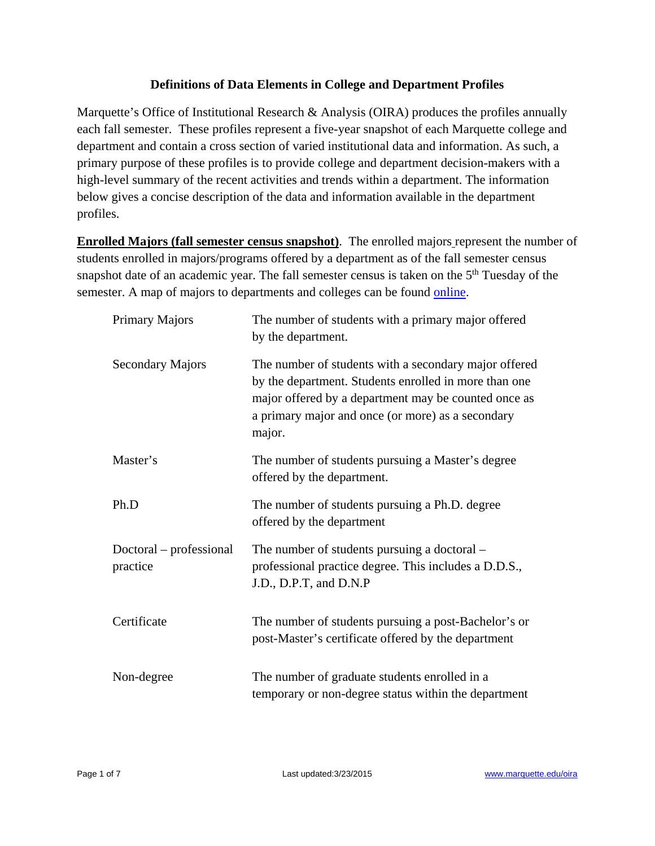## **Definitions of Data Elements in College and Department Profiles**

Marquette's Office of Institutional Research & Analysis (OIRA) produces the profiles annually each fall semester. These profiles represent a five-year snapshot of each Marquette college and department and contain a cross section of varied institutional data and information. As such, a primary purpose of these profiles is to provide college and department decision-makers with a high-level summary of the recent activities and trends within a department. The information below gives a concise description of the data and information available in the department profiles.

**Enrolled Majors (fall semester census snapshot)**. The enrolled majors represent the number of students enrolled in majors/programs offered by a department as of the fall semester census snapshot date of an academic year. The fall semester census is taken on the 5<sup>th</sup> Tuesday of the semester. A map of majors to departments and colleges can be found online.

| Primary Majors                      | The number of students with a primary major offered<br>by the department.                                                                                                                                                             |
|-------------------------------------|---------------------------------------------------------------------------------------------------------------------------------------------------------------------------------------------------------------------------------------|
| <b>Secondary Majors</b>             | The number of students with a secondary major offered<br>by the department. Students enrolled in more than one<br>major offered by a department may be counted once as<br>a primary major and once (or more) as a secondary<br>major. |
| Master's                            | The number of students pursuing a Master's degree<br>offered by the department.                                                                                                                                                       |
| Ph.D                                | The number of students pursuing a Ph.D. degree<br>offered by the department                                                                                                                                                           |
| Doctoral – professional<br>practice | The number of students pursuing a doctoral –<br>professional practice degree. This includes a D.D.S.,<br>J.D., D.P.T, and D.N.P                                                                                                       |
| Certificate                         | The number of students pursuing a post-Bachelor's or<br>post-Master's certificate offered by the department                                                                                                                           |
| Non-degree                          | The number of graduate students enrolled in a<br>temporary or non-degree status within the department                                                                                                                                 |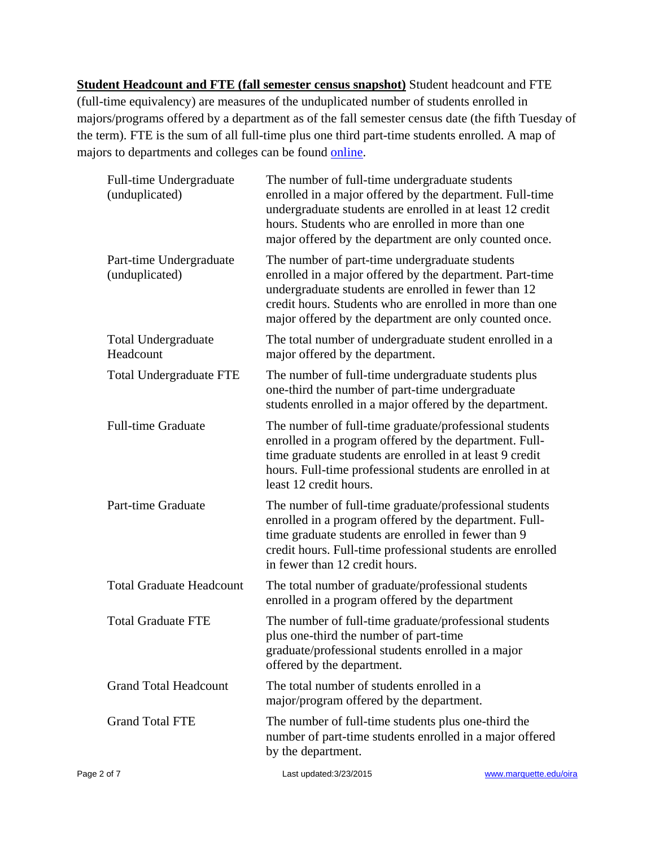**Student Headcount and FTE (fall semester census snapshot)** Student headcount and FTE (full-time equivalency) are measures of the unduplicated number of students enrolled in majors/programs offered by a department as of the fall semester census date (the fifth Tuesday of the term). FTE is the sum of all full-time plus one third part-time students enrolled. A map of majors to departments and colleges can be found online.

|             | Full-time Undergraduate<br>(unduplicated) | The number of full-time undergraduate students<br>enrolled in a major offered by the department. Full-time<br>undergraduate students are enrolled in at least 12 credit<br>hours. Students who are enrolled in more than one<br>major offered by the department are only counted once.   |                        |
|-------------|-------------------------------------------|------------------------------------------------------------------------------------------------------------------------------------------------------------------------------------------------------------------------------------------------------------------------------------------|------------------------|
|             | Part-time Undergraduate<br>(unduplicated) | The number of part-time undergraduate students<br>enrolled in a major offered by the department. Part-time<br>undergraduate students are enrolled in fewer than 12<br>credit hours. Students who are enrolled in more than one<br>major offered by the department are only counted once. |                        |
|             | <b>Total Undergraduate</b><br>Headcount   | The total number of undergraduate student enrolled in a<br>major offered by the department.                                                                                                                                                                                              |                        |
|             | <b>Total Undergraduate FTE</b>            | The number of full-time undergraduate students plus<br>one-third the number of part-time undergraduate<br>students enrolled in a major offered by the department.                                                                                                                        |                        |
|             | <b>Full-time Graduate</b>                 | The number of full-time graduate/professional students<br>enrolled in a program offered by the department. Full-<br>time graduate students are enrolled in at least 9 credit<br>hours. Full-time professional students are enrolled in at<br>least 12 credit hours.                      |                        |
|             | Part-time Graduate                        | The number of full-time graduate/professional students<br>enrolled in a program offered by the department. Full-<br>time graduate students are enrolled in fewer than 9<br>credit hours. Full-time professional students are enrolled<br>in fewer than 12 credit hours.                  |                        |
|             | <b>Total Graduate Headcount</b>           | The total number of graduate/professional students<br>enrolled in a program offered by the department                                                                                                                                                                                    |                        |
|             | <b>Total Graduate FTE</b>                 | The number of full-time graduate/professional students<br>plus one-third the number of part-time<br>graduate/professional students enrolled in a major<br>offered by the department.                                                                                                     |                        |
|             | <b>Grand Total Headcount</b>              | The total number of students enrolled in a<br>major/program offered by the department.                                                                                                                                                                                                   |                        |
|             | <b>Grand Total FTE</b>                    | The number of full-time students plus one-third the<br>number of part-time students enrolled in a major offered<br>by the department.                                                                                                                                                    |                        |
| Page 2 of 7 |                                           | Last updated: 3/23/2015                                                                                                                                                                                                                                                                  | www.marquette.edu/oira |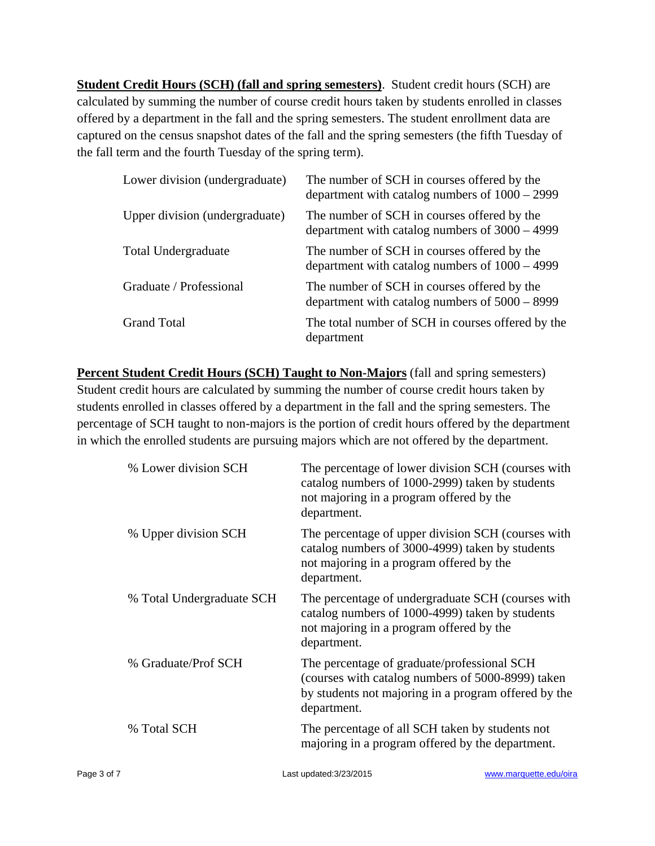**Student Credit Hours (SCH) (fall and spring semesters)**. Student credit hours (SCH) are calculated by summing the number of course credit hours taken by students enrolled in classes offered by a department in the fall and the spring semesters. The student enrollment data are captured on the census snapshot dates of the fall and the spring semesters (the fifth Tuesday of the fall term and the fourth Tuesday of the spring term).

| Lower division (undergraduate) | The number of SCH in courses offered by the<br>department with catalog numbers of $1000 - 2999$ |
|--------------------------------|-------------------------------------------------------------------------------------------------|
| Upper division (undergraduate) | The number of SCH in courses offered by the<br>department with catalog numbers of $3000 - 4999$ |
| <b>Total Undergraduate</b>     | The number of SCH in courses offered by the<br>department with catalog numbers of $1000 - 4999$ |
| Graduate / Professional        | The number of SCH in courses offered by the<br>department with catalog numbers of $5000 - 8999$ |
| <b>Grand Total</b>             | The total number of SCH in courses offered by the<br>department                                 |

**Percent Student Credit Hours (SCH) Taught to Non-Majors** (fall and spring semesters) Student credit hours are calculated by summing the number of course credit hours taken by students enrolled in classes offered by a department in the fall and the spring semesters. The percentage of SCH taught to non-majors is the portion of credit hours offered by the department in which the enrolled students are pursuing majors which are not offered by the department.

| % Lower division SCH      | The percentage of lower division SCH (courses with<br>catalog numbers of 1000-2999) taken by students<br>not majoring in a program offered by the<br>department.        |
|---------------------------|-------------------------------------------------------------------------------------------------------------------------------------------------------------------------|
| % Upper division SCH      | The percentage of upper division SCH (courses with<br>catalog numbers of 3000-4999) taken by students<br>not majoring in a program offered by the<br>department.        |
| % Total Undergraduate SCH | The percentage of undergraduate SCH (courses with<br>catalog numbers of 1000-4999) taken by students<br>not majoring in a program offered by the<br>department.         |
| % Graduate/Prof SCH       | The percentage of graduate/professional SCH<br>(courses with catalog numbers of 5000-8999) taken<br>by students not majoring in a program offered by the<br>department. |
| % Total SCH               | The percentage of all SCH taken by students not<br>majoring in a program offered by the department.                                                                     |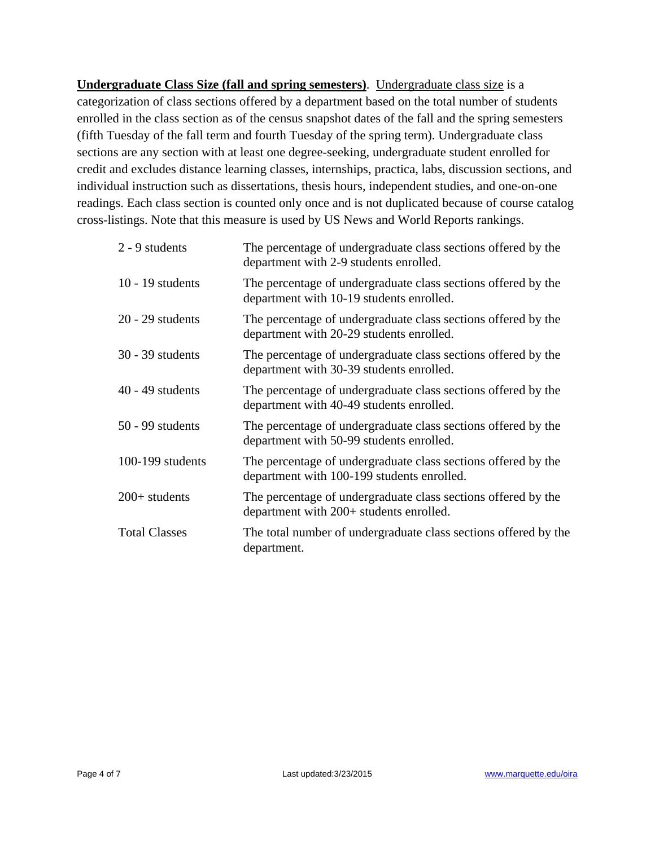**Undergraduate Class Size (fall and spring semesters)**. Undergraduate class size is a categorization of class sections offered by a department based on the total number of students enrolled in the class section as of the census snapshot dates of the fall and the spring semesters (fifth Tuesday of the fall term and fourth Tuesday of the spring term). Undergraduate class sections are any section with at least one degree-seeking, undergraduate student enrolled for credit and excludes distance learning classes, internships, practica, labs, discussion sections, and individual instruction such as dissertations, thesis hours, independent studies, and one-on-one readings. Each class section is counted only once and is not duplicated because of course catalog cross-listings. Note that this measure is used by US News and World Reports rankings.

| 2 - 9 students       | The percentage of undergraduate class sections offered by the<br>department with 2-9 students enrolled.     |
|----------------------|-------------------------------------------------------------------------------------------------------------|
| 10 - 19 students     | The percentage of undergraduate class sections offered by the<br>department with 10-19 students enrolled.   |
| $20 - 29$ students   | The percentage of undergraduate class sections offered by the<br>department with 20-29 students enrolled.   |
| 30 - 39 students     | The percentage of undergraduate class sections offered by the<br>department with 30-39 students enrolled.   |
| $40 - 49$ students   | The percentage of undergraduate class sections offered by the<br>department with 40-49 students enrolled.   |
| $50 - 99$ students   | The percentage of undergraduate class sections offered by the<br>department with 50-99 students enrolled.   |
| 100-199 students     | The percentage of undergraduate class sections offered by the<br>department with 100-199 students enrolled. |
| $200+$ students      | The percentage of undergraduate class sections offered by the<br>department with 200+ students enrolled.    |
| <b>Total Classes</b> | The total number of undergraduate class sections offered by the<br>department.                              |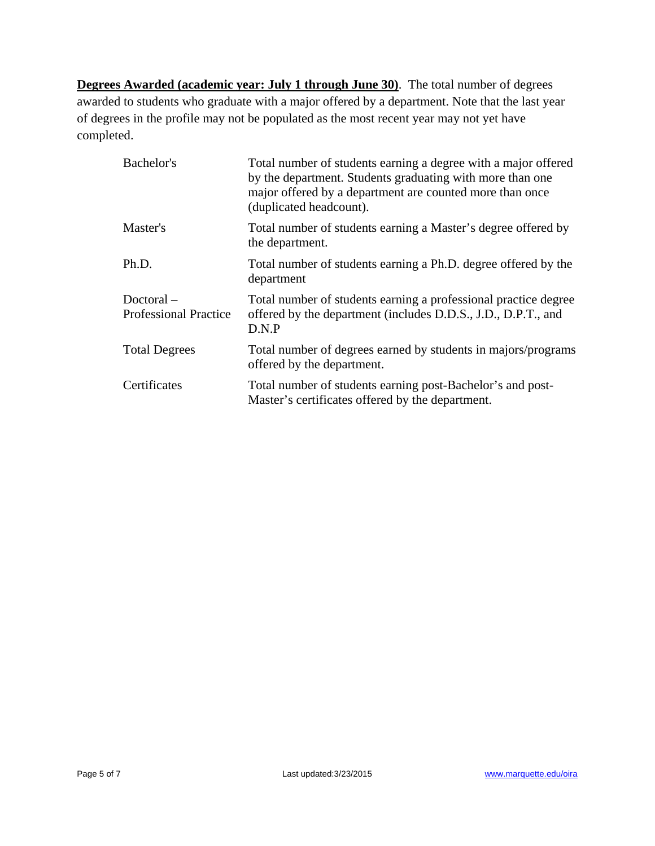**Degrees Awarded (academic year: July 1 through June 30)**. The total number of degrees awarded to students who graduate with a major offered by a department. Note that the last year of degrees in the profile may not be populated as the most recent year may not yet have completed.

| Bachelor's                                   | Total number of students earning a degree with a major offered<br>by the department. Students graduating with more than one<br>major offered by a department are counted more than once<br>(duplicated headcount). |
|----------------------------------------------|--------------------------------------------------------------------------------------------------------------------------------------------------------------------------------------------------------------------|
| Master's                                     | Total number of students earning a Master's degree offered by<br>the department.                                                                                                                                   |
| Ph.D.                                        | Total number of students earning a Ph.D. degree offered by the<br>department                                                                                                                                       |
| $Doctoral -$<br><b>Professional Practice</b> | Total number of students earning a professional practice degree<br>offered by the department (includes D.D.S., J.D., D.P.T., and<br>D.N.P                                                                          |
| <b>Total Degrees</b>                         | Total number of degrees earned by students in majors/programs<br>offered by the department.                                                                                                                        |
| Certificates                                 | Total number of students earning post-Bachelor's and post-<br>Master's certificates offered by the department.                                                                                                     |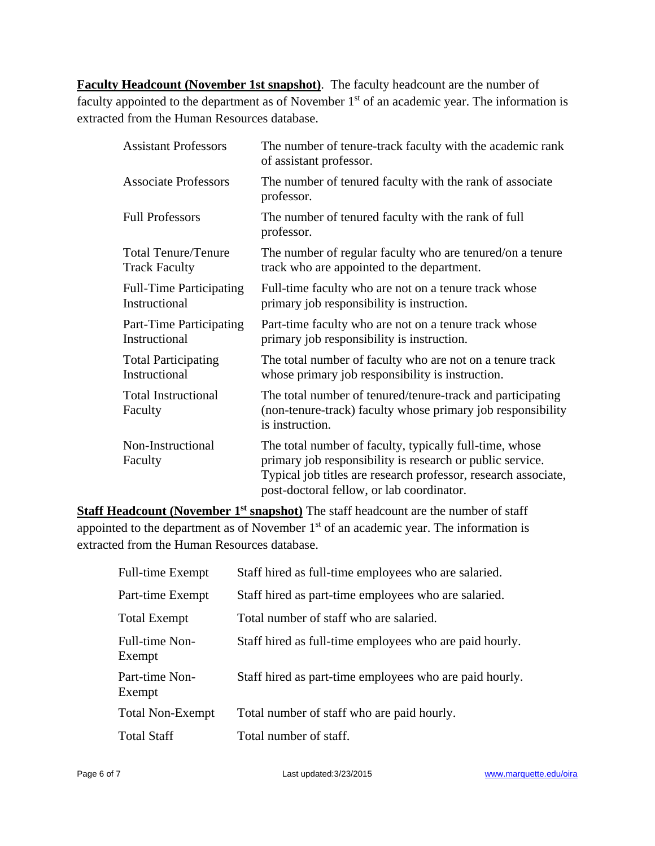**Faculty Headcount (November 1st snapshot)**. The faculty headcount are the number of faculty appointed to the department as of November 1<sup>st</sup> of an academic year. The information is extracted from the Human Resources database.

| <b>Assistant Professors</b>                        | The number of tenure-track faculty with the academic rank<br>of assistant professor.                                                                                                                                                |
|----------------------------------------------------|-------------------------------------------------------------------------------------------------------------------------------------------------------------------------------------------------------------------------------------|
| <b>Associate Professors</b>                        | The number of tenured faculty with the rank of associate<br>professor.                                                                                                                                                              |
| <b>Full Professors</b>                             | The number of tenured faculty with the rank of full<br>professor.                                                                                                                                                                   |
| <b>Total Tenure/Tenure</b><br><b>Track Faculty</b> | The number of regular faculty who are tenured/on a tenure<br>track who are appointed to the department.                                                                                                                             |
| <b>Full-Time Participating</b><br>Instructional    | Full-time faculty who are not on a tenure track whose<br>primary job responsibility is instruction.                                                                                                                                 |
| Part-Time Participating<br>Instructional           | Part-time faculty who are not on a tenure track whose<br>primary job responsibility is instruction.                                                                                                                                 |
| <b>Total Participating</b><br>Instructional        | The total number of faculty who are not on a tenure track<br>whose primary job responsibility is instruction.                                                                                                                       |
| <b>Total Instructional</b><br>Faculty              | The total number of tenured/tenure-track and participating<br>(non-tenure-track) faculty whose primary job responsibility<br>is instruction.                                                                                        |
| Non-Instructional<br>Faculty                       | The total number of faculty, typically full-time, whose<br>primary job responsibility is research or public service.<br>Typical job titles are research professor, research associate,<br>post-doctoral fellow, or lab coordinator. |

**Staff Headcount (November 1<sup>st</sup> snapshot)** The staff headcount are the number of staff appointed to the department as of November 1<sup>st</sup> of an academic year. The information is extracted from the Human Resources database.

| <b>Full-time Exempt</b>  | Staff hired as full-time employees who are salaried.    |
|--------------------------|---------------------------------------------------------|
| Part-time Exempt         | Staff hired as part-time employees who are salaried.    |
| <b>Total Exempt</b>      | Total number of staff who are salaried.                 |
| Full-time Non-<br>Exempt | Staff hired as full-time employees who are paid hourly. |
| Part-time Non-<br>Exempt | Staff hired as part-time employees who are paid hourly. |
| <b>Total Non-Exempt</b>  | Total number of staff who are paid hourly.              |
| <b>Total Staff</b>       | Total number of staff.                                  |